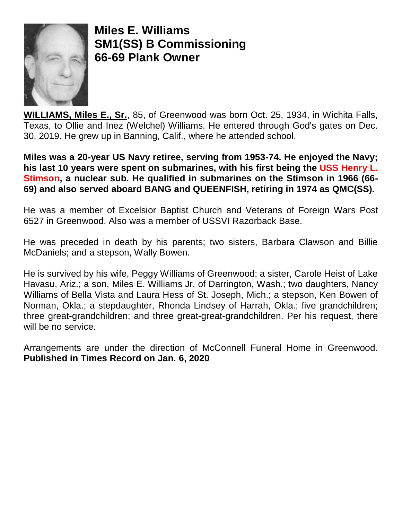

**Miles E. Williams SM1(SS) B Commissioning 66-69 Plank Owner**

**WILLIAMS, Miles E., Sr.**, 85, of Greenwood was born Oct. 25, 1934, in Wichita Falls, Texas, to Ollie and Inez (Welchel) Williams. He entered through God's gates on Dec. 30, 2019. He grew up in Banning, Calif., where he attended school.

**Miles was a 20-year US Navy retiree, serving from 1953-74. He enjoyed the Navy; his last 10 years were spent on submarines, with his first being the USS Henry L. Stimson, a nuclear sub. He qualified in submarines on the Stimson in 1966 (66- 69) and also served aboard BANG and QUEENFISH, retiring in 1974 as QMC(SS).** 

He was a member of Excelsior Baptist Church and Veterans of Foreign Wars Post 6527 in Greenwood. Also was a member of USSVI Razorback Base.

He was preceded in death by his parents; two sisters, Barbara Clawson and Billie McDaniels; and a stepson, Wally Bowen.

He is survived by his wife, Peggy Williams of Greenwood; a sister, Carole Heist of Lake Havasu, Ariz.; a son, Miles E. Williams Jr. of Darrington, Wash.; two daughters, Nancy Williams of Bella Vista and Laura Hess of St. Joseph, Mich.; a stepson, Ken Bowen of Norman, Okla.; a stepdaughter, Rhonda Lindsey of Harrah, Okla.; five grandchildren; three great-grandchildren; and three great-great-grandchildren. Per his request, there will be no service.

Arrangements are under the direction of McConnell Funeral Home in Greenwood. **Published in Times Record on Jan. 6, 2020**